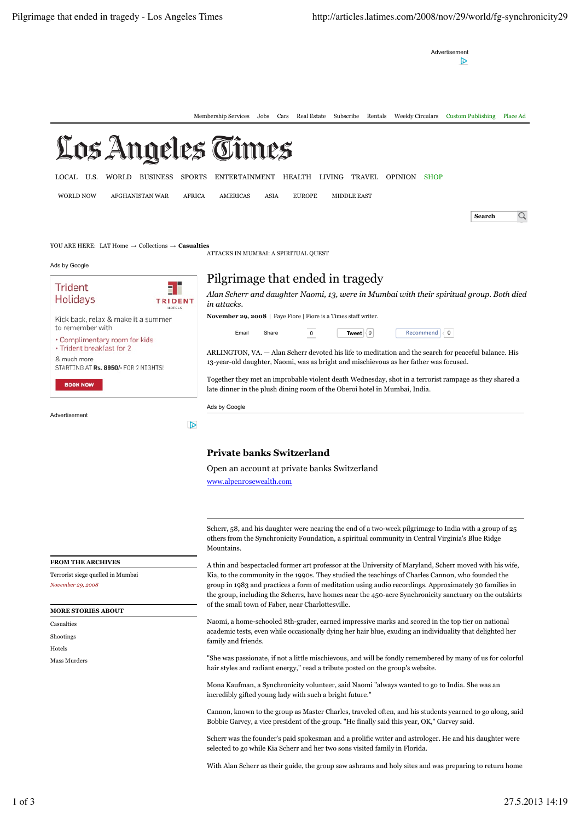Advertisement



## **Private banks Switzerland**

Open an account at private banks Switzerland

www.alpenrosewealth.com

**FROM THE ARCHIVES**

Terrorist siege quelled in Mumbai *November 29, 2008*

## **MORE STORIES ABOUT**

Casualties Shootings Hotels Mass Murders

Scherr, 58, and his daughter were nearing the end of a two-week pilgrimage to India with a group of 25 others from the Synchronicity Foundation, a spiritual community in Central Virginia's Blue Ridge Mountains.

A thin and bespectacled former art professor at the University of Maryland, Scherr moved with his wife, Kia, to the community in the 1990s. They studied the teachings of Charles Cannon, who founded the group in 1983 and practices a form of meditation using audio recordings. Approximately 30 families in the group, including the Scherrs, have homes near the 450-acre Synchronicity sanctuary on the outskirts of the small town of Faber, near Charlottesville.

Naomi, a home-schooled 8th-grader, earned impressive marks and scored in the top tier on national academic tests, even while occasionally dying her hair blue, exuding an individuality that delighted her family and friends.

"She was passionate, if not a little mischievous, and will be fondly remembered by many of us for colorful hair styles and radiant energy," read a tribute posted on the group's website.

Mona Kaufman, a Synchronicity volunteer, said Naomi "always wanted to go to India. She was an incredibly gifted young lady with such a bright future."

Cannon, known to the group as Master Charles, traveled often, and his students yearned to go along, said Bobbie Garvey, a vice president of the group. "He finally said this year, OK," Garvey said.

Scherr was the founder's paid spokesman and a prolific writer and astrologer. He and his daughter were selected to go while Kia Scherr and her two sons visited family in Florida.

With Alan Scherr as their guide, the group saw ashrams and holy sites and was preparing to return home